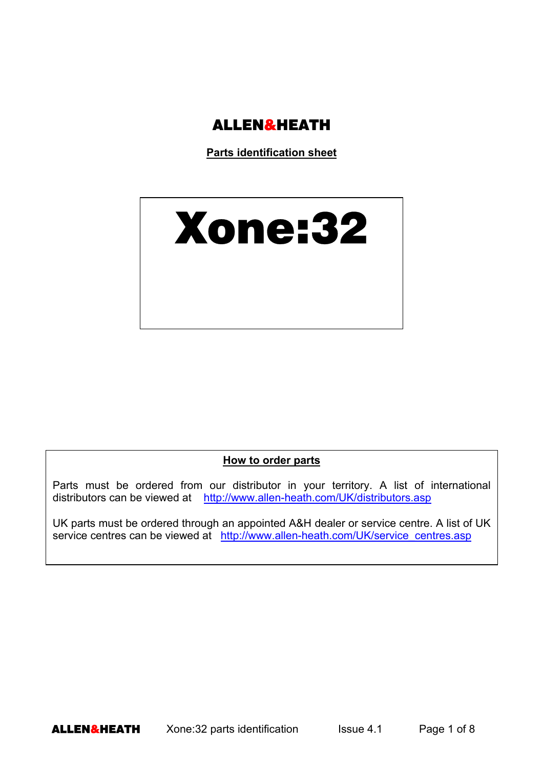

**Parts identification sheet**

# Xone:32

#### **How to order parts**

Parts must be ordered from our distributor in your territory. A list of international distributors can be viewed at http://www.allen-heath.com/UK/distributors.asp

UK parts must be ordered through an appointed A&H dealer or service centre. A list of UK service centres can be viewed at http://www.allen-heath.com/UK/service\_centres.asp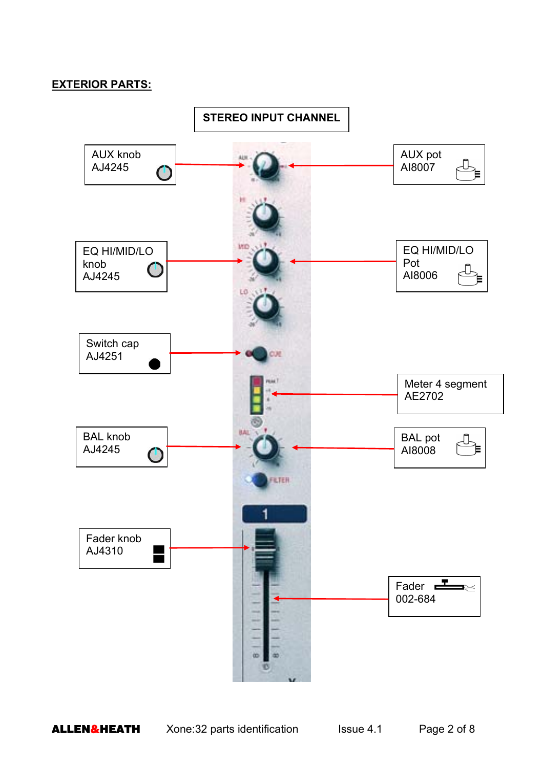### **EXTERIOR PARTS:**

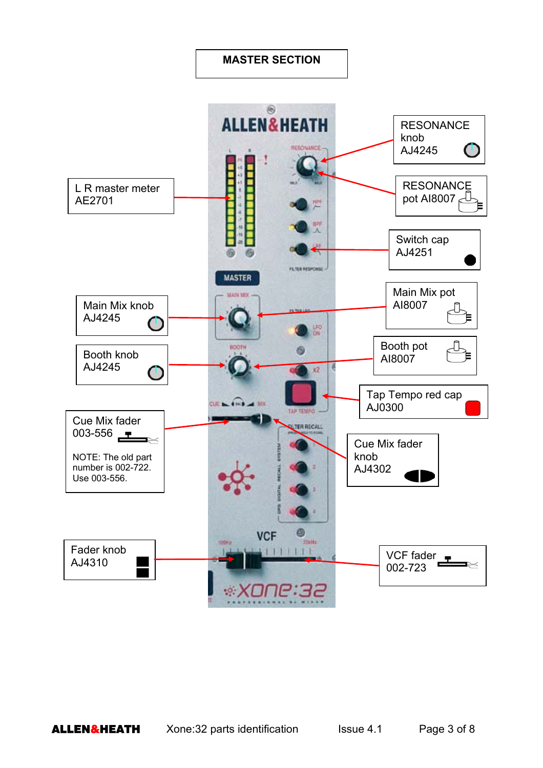# **MASTER SECTION**

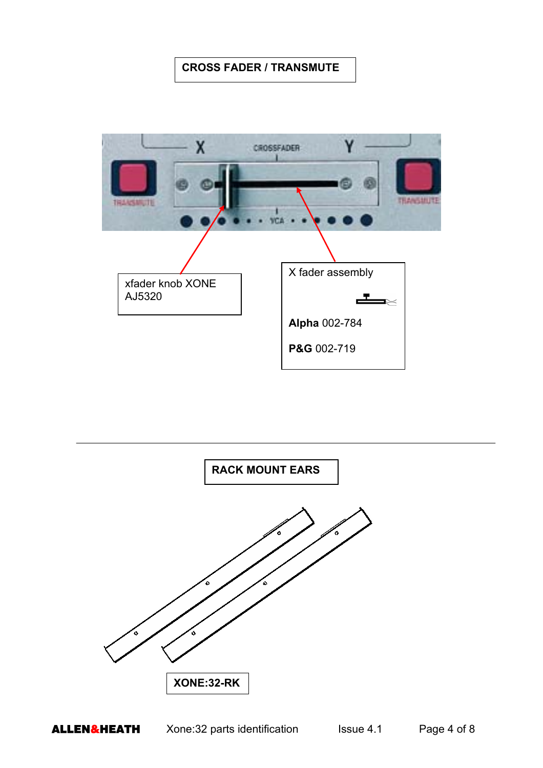# **CROSS FADER / TRANSMUTE**



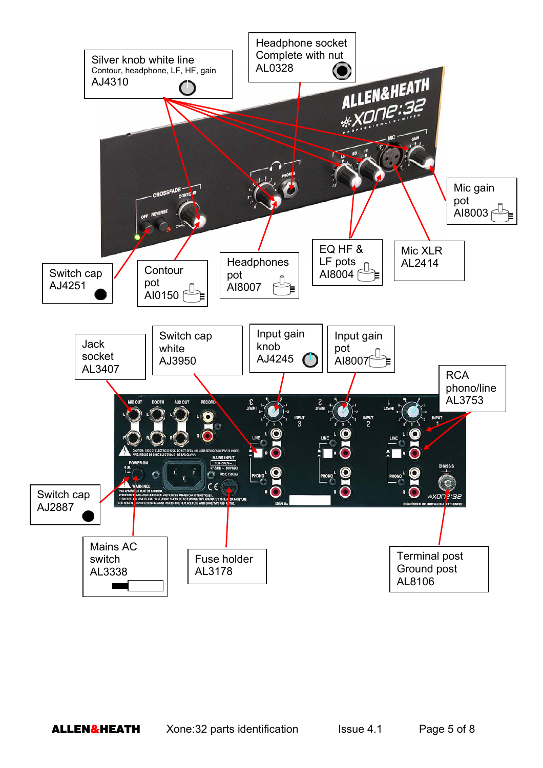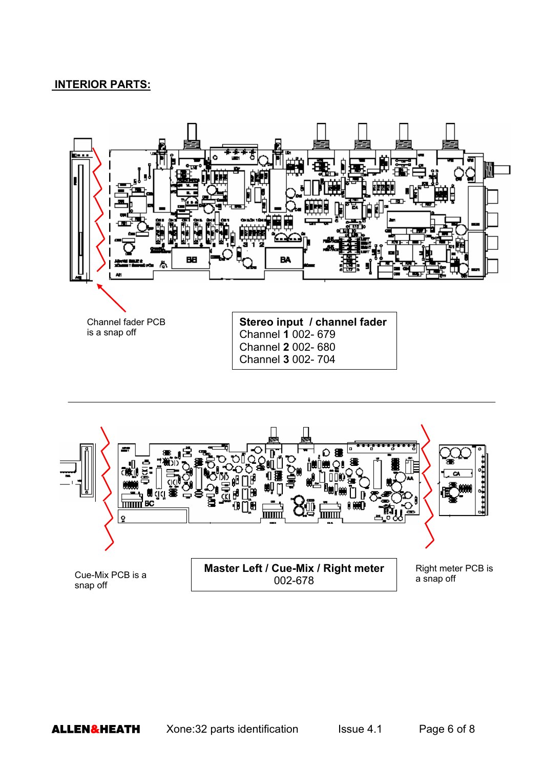## **INTERIOR PARTS:**



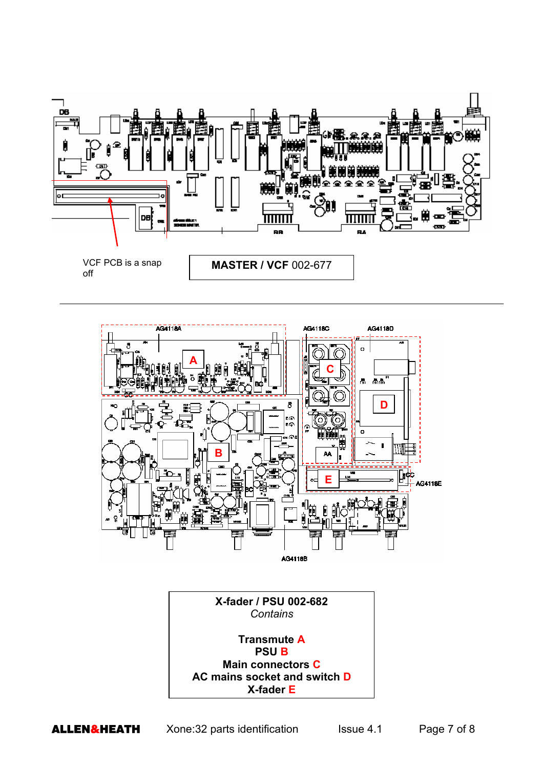





**ALLEN&HEATH** Xone:32 parts identification Issue 4.1 Page 7 of 8